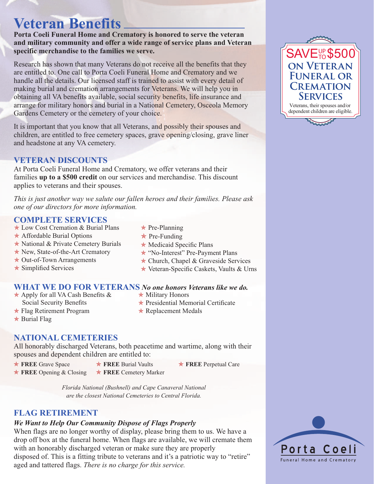# **Veteran Benefits**

**Porta Coeli Funeral Home and Crematory is honored to serve the veteran and military community and offer a wide range of service plans and Veteran specific merchandise to the families we serve.**

Research has shown that many Veterans do not receive all the benefits that they are entitled to. One call to Porta Coeli Funeral Home and Crematory and we handle all the details. Our licensed staff is trained to assist with every detail of making burial and cremation arrangements for Veterans. We will help you in obtaining all VA benefits available, social security benefits, life insurance and arrange for military honors and burial in a National Cemetery, Osceola Memory Gardens Cemetery or the cemetery of your choice.

It is important that you know that all Veterans, and possibly their spouses and children, are entitled to free cemetery spaces, grave opening/closing, grave liner and headstone at any VA cemetery.

## **VETERAN DISCOUNTS**

At Porta Coeli Funeral Home and Crematory, we offer veterans and their families **up to a \$500 credit** on our services and merchandise. This discount applies to veterans and their spouses.

*This is just another way we salute our fallen heroes and their families. Please ask one of our directors for more information.* 

## **COMPLETE SERVICES**

- $\star$  Low Cost Cremation & Burial Plans
- $\star$  Affordable Burial Options
- $\star$  National & Private Cemetery Burials
- $\star$  New, State-of-the-Art Crematory
- $\star$  Out-of-Town Arrangements
- $\star$  Simplified Services
- $\star$  Pre-Planning
- $\star$  Pre-Funding
- $\star$  Medicaid Specific Plans
- **★ "No-Interest" Pre-Payment Plans**
- $\star$  Church, Chapel & Graveside Services
- $\star$  Veteran-Specific Caskets, Vaults & Urns

#### **WHAT WE DO FOR VETERANS** *No one honors Veterans like we do.*

- $\star$  Apply for all VA Cash Benefits & Social Security Benefits
- 
- $\star$  Military Honors  $\star$  Presidential Memorial Certificate
- $\star$  Flag Retirement Program  $\star$  Burial Flag
	-
- $\star$  Replacement Medals

# **NATIONAL CEMETERIES**

All honorably discharged Veterans, both peacetime and wartime, along with their spouses and dependent children are entitled to:

- **★ FREE** Grave Space
- **\* FREE** Burial Vaults \* FREE Cemetery Marker
- **★ FREE** Perpetual Care

**★ FREE** Opening & Closing

*Florida National (Bushnell) and Cape Canaveral National are the closest National Cemeteries to Central Florida.*

# **FLAG RETIREMENT**

## *We Want to Help Our Community Dispose of Flags Properly*

When flags are no longer worthy of display, please bring them to us. We have a drop off box at the funeral home. When flags are available, we will cremate them with an honorably discharged veteran or make sure they are properly disposed of. This is a fitting tribute to veterans and it's a patriotic way to "retire" aged and tattered flags. *There is no charge for this service.*